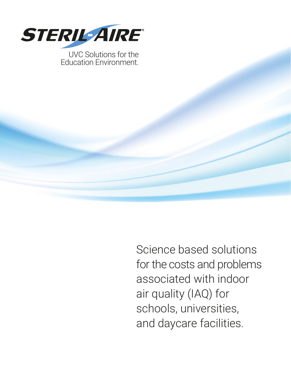

Science based solutions for the costs and problems associated with indoor air quality (IAQ) for schools, universities, and daycare facilities.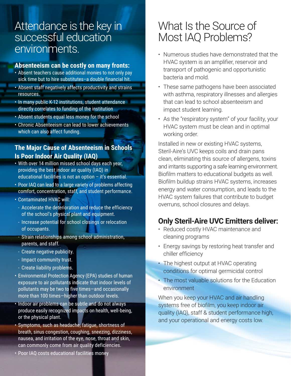## Attendance is the key in successful education environments.

#### **Absenteeism can be costly on many fronts:**

- Absent teachers cause additional monies to not only pay sick time but to hire substitutes–a double financial hit.
- Absent staff negatively affects productivity and strains resources.
- In many public K-12 institutions, student attendance directly correlates to funding of the institution
- Absent students equal less money for the school
- Chronic Absenteeism can lead to lower achievements which can also affect funding.

#### **The Major Cause of Absenteeism in Schools Is Poor Indoor Air Quality (IAQ)**

- With over 14 million missed school days each year, providing the best indoor air quality (IAQ) in educational facilities is not an option – it's essential.
- Poor IAQ can lead to a large variety of problems affecting comfort, concentration, staff, and student performance.
- Contaminated HVAC will:
- Accelerate the deterioration and reduce the efficiency of the school's physical plant and equipment.
- Increase potential for school closings or relocation of occupants.
- Strain relationships among school administration, parents, and staff.
- Create negative publicity.
- Impact community trust.
- Create liability problems.
- Environmental Protection Agency (EPA) studies of human exposure to air pollutants indicate that indoor levels of pollutants may be two to five times—and occasionally more than 100 times—higher than outdoor levels.
- Indoor air problems can be subtle and do not always produce easily recognized impacts on health, well-being, or the physical plant.
- Symptoms, such as headache, fatigue, shortness of breath, sinus congestion, coughing, sneezing, dizziness, nausea, and irritation of the eye, nose, throat and skin, can commonly come from air quality deficiencies.
- Poor IAQ costs educational facilities money

## What Is the Source of Most IAQ Problems?

- Numerous studies have demonstrated that the HVAC system is an amplifier, reservoir and transport of pathogenic and opportunistic bacteria and mold.
- These same pathogens have been associated with asthma, respiratory illnesses and allergies that can lead to school absenteeism and impact student learning.
- As the "respiratory system" of your facility, your HVAC system must be clean and in optimal working order.

Installed in new or existing HVAC systems, Steril-Aire's UVC keeps coils and drain pans clean, eliminating this source of allergens, toxins and irritants supporting a safe learning environment. Biofilm matters to educational budgets as well. Biofilm buildup strains HVAC systems, increases energy and water consumption, and leads to the HVAC system failures that contribute to budget overruns, school closures and delays.

#### **Only Steril-Aire UVC Emitters deliver:**

- Reduced costly HVAC maintenance and cleaning programs
- Energy savings by restoring heat transfer and chiller efficiency
- The highest output at HVAC operating conditions for optimal germicidal control
- The most valuable solutions for the Education environment

When you keep your HVAC and air handling systems free of biofilm, you keep indoor air quality (IAQ), staff & student performance high, and your operational and energy costs low.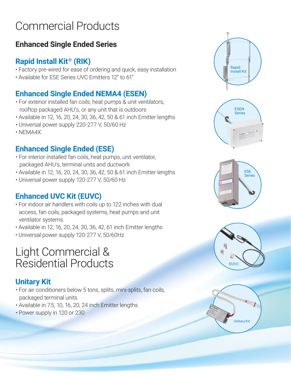# Commercial Products

### **Enhanced Single Ended Series**

#### **Rapid Install Kit® (RIK)**

- Factory pre-wired for ease of ordering and quick, easy installation
- Available for ESE Series UVC Emitters 12" to 61"

### **Enhanced Single Ended NEMA4 (ESEN)**

- For exterior installed fan coils, heat pumps & unit ventilators, rooftop packaged AHU's, or any unit that is outdoors
- Available in 12, 16, 20, 24, 30, 36, 42, 50 & 61 inch Emitter lengths
- Universal power supply 220-277 V, 50/60 Hz
- NEMA4X

### **Enhanced Single Ended (ESE)**

- For interior installed fan coils, heat pumps, unit ventilator, packaged AHU's, terminal units and ductwork
- Available in 12, 16, 20, 24, 30, 36, 42, 50 & 61 inch Emitter lengths
- Universal power supply 120-277 V, 50/60 Hz

### **Enhanced UVC Kit (EUVC)**

- For indoor air handlers with coils up to 122 inches with dual access, fan coils, packaged systems, heat pumps and unit ventilator systems.
- Available in 12, 16, 20, 24, 30, 36, 42, 61 inch Emitter lengths
- Universal power supply 120-277 V, 50/60Hz

# Light Commercial & Residential Products

### **Unitary Kit**

- For air conditioners below 5 tons, splits, mini-splits, fan coils, packaged terminal units
- Available in 7.5, 10, 16, 20, 24 inch Emitter lengths
- Power supply in 120 or 230









Unitary Kit